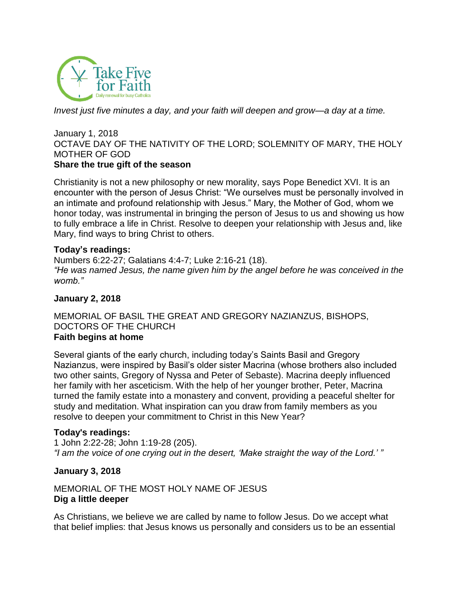

*Invest just five minutes a day, and your faith will deepen and grow—a day at a time.*

#### January 1, 2018 OCTAVE DAY OF THE NATIVITY OF THE LORD; SOLEMNITY OF MARY, THE HOLY MOTHER OF GOD **Share the true gift of the season**

Christianity is not a new philosophy or new morality, says Pope Benedict XVI. It is an encounter with the person of Jesus Christ: "We ourselves must be personally involved in an intimate and profound relationship with Jesus." Mary, the Mother of God, whom we honor today, was instrumental in bringing the person of Jesus to us and showing us how to fully embrace a life in Christ. Resolve to deepen your relationship with Jesus and, like Mary, find ways to bring Christ to others.

#### **Today's readings:**

Numbers 6:22-27; Galatians 4:4-7; Luke 2:16-21 [\(18\)](http://www.usccb.org/bible/readings/010118.cfm). *"He was named Jesus, the name given him by the angel before he was conceived in the womb."*

#### **January 2, 2018**

#### MEMORIAL OF BASIL THE GREAT AND GREGORY NAZIANZUS, BISHOPS, DOCTORS OF THE CHURCH **Faith begins at home**

Several giants of the early church, including today's Saints Basil and Gregory Nazianzus, were inspired by Basil's older sister Macrina (whose brothers also included two other saints, Gregory of Nyssa and Peter of Sebaste). Macrina deeply influenced her family with her asceticism. With the help of her younger brother, Peter, Macrina turned the family estate into a monastery and convent, providing a peaceful shelter for study and meditation. What inspiration can you draw from family members as you resolve to deepen your commitment to Christ in this New Year?

#### **Today's readings:**

1 John 2:22-28; John 1:19-28 [\(205\)](http://www.usccb.org/bible/readings/010218.cfm). *"I am the voice of one crying out in the desert, 'Make straight the way of the Lord.' "*

#### **January 3, 2018**

## MEMORIAL OF THE MOST HOLY NAME OF JESUS **Dig a little deeper**

As Christians, we believe we are called by name to follow Jesus. Do we accept what that belief implies: that Jesus knows us personally and considers us to be an essential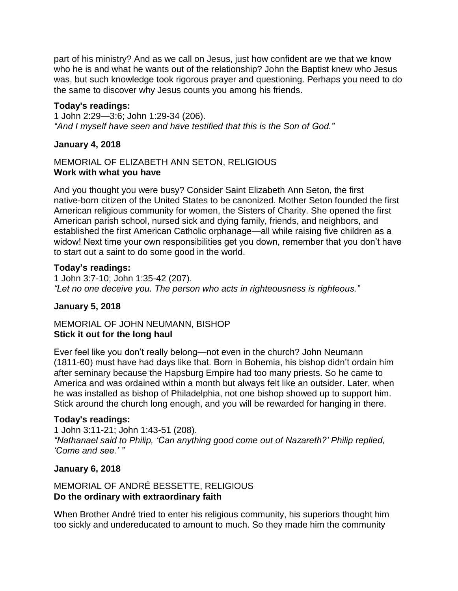part of his ministry? And as we call on Jesus, just how confident are we that we know who he is and what he wants out of the relationship? John the Baptist knew who Jesus was, but such knowledge took rigorous prayer and questioning. Perhaps you need to do the same to discover why Jesus counts you among his friends.

## **Today's readings:**

1 John 2:29—3:6; John 1:29-34 [\(206\)](http://www.usccb.org/bible/readings/010318.cfm). *"And I myself have seen and have testified that this is the Son of God."*

## **January 4, 2018**

#### MEMORIAL OF ELIZABETH ANN SETON, RELIGIOUS **Work with what you have**

And you thought you were busy? Consider Saint Elizabeth Ann Seton, the first native-born citizen of the United States to be canonized. Mother Seton founded the first American religious community for women, the Sisters of Charity. She opened the first American parish school, nursed sick and dying family, friends, and neighbors, and established the first American Catholic orphanage—all while raising five children as a widow! Next time your own responsibilities get you down, remember that you don't have to start out a saint to do some good in the world.

### **Today's readings:**

1 John 3:7-10; John 1:35-42 [\(207\)](http://www.usccb.org/bible/readings/010418.cfm). *"Let no one deceive you. The person who acts in righteousness is righteous."*

### **January 5, 2018**

## MEMORIAL OF JOHN NEUMANN, BISHOP **Stick it out for the long haul**

Ever feel like you don't really belong—not even in the church? John Neumann (1811-60) must have had days like that. Born in Bohemia, his bishop didn't ordain him after seminary because the Hapsburg Empire had too many priests. So he came to America and was ordained within a month but always felt like an outsider. Later, when he was installed as bishop of Philadelphia, not one bishop showed up to support him. Stick around the church long enough, and you will be rewarded for hanging in there.

### **Today's readings:**

1 John 3:11-21; John 1:43-51 [\(208\)](http://www.usccb.org/bible/readings/010518.cfm). *"Nathanael said to Philip, 'Can anything good come out of Nazareth?' Philip replied, 'Come and see.' "*

### **January 6, 2018**

### MEMORIAL OF ANDRÉ BESSETTE, RELIGIOUS **Do the ordinary with extraordinary faith**

When Brother André tried to enter his religious community, his superiors thought him too sickly and undereducated to amount to much. So they made him the community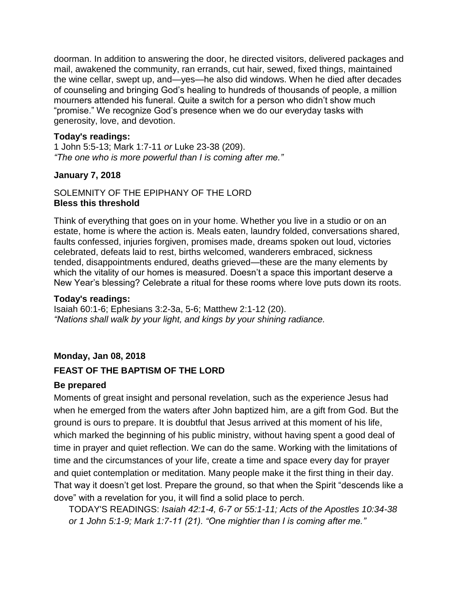doorman. In addition to answering the door, he directed visitors, delivered packages and mail, awakened the community, ran errands, cut hair, sewed, fixed things, maintained the wine cellar, swept up, and—yes—he also did windows. When he died after decades of counseling and bringing God's healing to hundreds of thousands of people, a million mourners attended his funeral. Quite a switch for a person who didn't show much "promise." We recognize God's presence when we do our everyday tasks with generosity, love, and devotion.

## **Today's readings:**

1 John 5:5-13; Mark 1:7-11 *or* Luke 23-38 [\(209\)](http://www.usccb.org/bible/readings/010618.cfm). *"The one who is more powerful than I is coming after me."*

## **January 7, 2018**

## SOLEMNITY OF THE EPIPHANY OF THE LORD **Bless this threshold**

Think of everything that goes on in your home. Whether you live in a studio or on an estate, home is where the action is. Meals eaten, laundry folded, conversations shared, faults confessed, injuries forgiven, promises made, dreams spoken out loud, victories celebrated, defeats laid to rest, births welcomed, wanderers embraced, sickness tended, disappointments endured, deaths grieved—these are the many elements by which the vitality of our homes is measured. Doesn't a space this important deserve a New Year's blessing? Celebrate a ritual for these rooms where love puts down its roots.

## **Today's readings:**

Isaiah 60:1-6; Ephesians 3:2-3a, 5-6; Matthew 2:1-12 [\(20\)](http://www.usccb.org/bible/readings/010718.cfm). *"Nations shall walk by your light, and kings by your shining radiance.*

# **Monday, Jan 08, 2018**

## **FEAST OF THE BAPTISM OF THE LORD**

### **Be prepared**

Moments of great insight and personal revelation, such as the experience Jesus had when he emerged from the waters after John baptized him, are a gift from God. But the ground is ours to prepare. It is doubtful that Jesus arrived at this moment of his life, which marked the beginning of his public ministry, without having spent a good deal of time in prayer and quiet reflection. We can do the same. Working with the limitations of time and the circumstances of your life, create a time and space every day for prayer and quiet contemplation or meditation. Many people make it the first thing in their day. That way it doesn't get lost. Prepare the ground, so that when the Spirit "descends like a dove" with a revelation for you, it will find a solid place to perch.

TODAY'S READINGS: *Isaiah 42:1-4, 6-7 or 55:1-11; Acts of the Apostles 10:34-38 or 1 John 5:1-9; Mark 1:7-11 (21). "One mightier than I is coming after me."*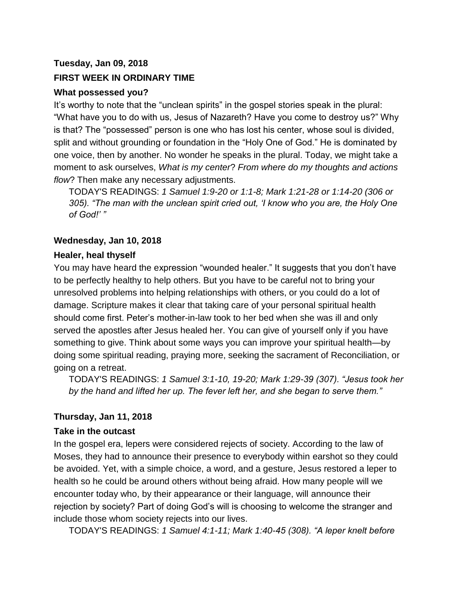# **Tuesday, Jan 09, 2018 FIRST WEEK IN ORDINARY TIME**

## **What possessed you?**

It's worthy to note that the "unclean spirits" in the gospel stories speak in the plural: "What have you to do with us, Jesus of Nazareth? Have you come to destroy us?" Why is that? The "possessed" person is one who has lost his center, whose soul is divided, split and without grounding or foundation in the "Holy One of God." He is dominated by one voice, then by another. No wonder he speaks in the plural. Today, we might take a moment to ask ourselves, *What is my center*? *From where do my thoughts and actions flow*? Then make any necessary adjustments.

TODAY'S READINGS: *1 Samuel 1:9-20 or 1:1-8; Mark 1:21-28 or 1:14-20 (306 or 305). "The man with the unclean spirit cried out, 'I know who you are, the Holy One of God!' "*

## **Wednesday, Jan 10, 2018**

## **Healer, heal thyself**

You may have heard the expression "wounded healer." It suggests that you don't have to be perfectly healthy to help others. But you have to be careful not to bring your unresolved problems into helping relationships with others, or you could do a lot of damage. Scripture makes it clear that taking care of your personal spiritual health should come first. Peter's mother-in-law took to her bed when she was ill and only served the apostles after Jesus healed her. You can give of yourself only if you have something to give. Think about some ways you can improve your spiritual health—by doing some spiritual reading, praying more, seeking the sacrament of Reconciliation, or going on a retreat.

TODAY'S READINGS: *1 Samuel 3:1-10, 19-20; Mark 1:29-39 (307). "Jesus took her by the hand and lifted her up. The fever left her, and she began to serve them."*

## **Thursday, Jan 11, 2018**

## **Take in the outcast**

In the gospel era, lepers were considered rejects of society. According to the law of Moses, they had to announce their presence to everybody within earshot so they could be avoided. Yet, with a simple choice, a word, and a gesture, Jesus restored a leper to health so he could be around others without being afraid. How many people will we encounter today who, by their appearance or their language, will announce their rejection by society? Part of doing God's will is choosing to welcome the stranger and include those whom society rejects into our lives.

TODAY'S READINGS: *1 Samuel 4:1-11; Mark 1:40-45 (308). "A leper knelt before*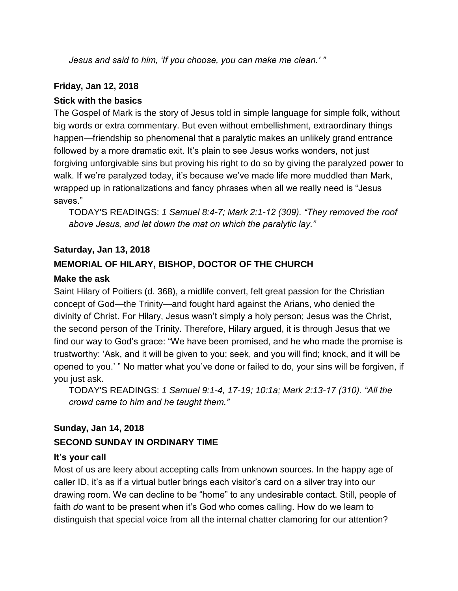*Jesus and said to him, 'If you choose, you can make me clean.' "*

## **Friday, Jan 12, 2018**

## **Stick with the basics**

The Gospel of Mark is the story of Jesus told in simple language for simple folk, without big words or extra commentary. But even without embellishment, extraordinary things happen—friendship so phenomenal that a paralytic makes an unlikely grand entrance followed by a more dramatic exit. It's plain to see Jesus works wonders, not just forgiving unforgivable sins but proving his right to do so by giving the paralyzed power to walk. If we're paralyzed today, it's because we've made life more muddled than Mark, wrapped up in rationalizations and fancy phrases when all we really need is "Jesus saves."

TODAY'S READINGS: *1 Samuel 8:4-7; Mark 2:1-12 (309). "They removed the roof above Jesus, and let down the mat on which the paralytic lay."*

## **Saturday, Jan 13, 2018**

## **MEMORIAL OF HILARY, BISHOP, DOCTOR OF THE CHURCH**

## **Make the ask**

Saint Hilary of Poitiers (d. 368), a midlife convert, felt great passion for the Christian concept of God—the Trinity—and fought hard against the Arians, who denied the divinity of Christ. For Hilary, Jesus wasn't simply a holy person; Jesus was the Christ, the second person of the Trinity. Therefore, Hilary argued, it is through Jesus that we find our way to God's grace: "We have been promised, and he who made the promise is trustworthy: 'Ask, and it will be given to you; seek, and you will find; knock, and it will be opened to you.' " No matter what you've done or failed to do, your sins will be forgiven, if you just ask.

TODAY'S READINGS: *1 Samuel 9:1-4, 17-19; 10:1a; Mark 2:13-17 (310). "All the crowd came to him and he taught them."*

# **Sunday, Jan 14, 2018 SECOND SUNDAY IN ORDINARY TIME**

## **It's your call**

Most of us are leery about accepting calls from unknown sources. In the happy age of caller ID, it's as if a virtual butler brings each visitor's card on a silver tray into our drawing room. We can decline to be "home" to any undesirable contact. Still, people of faith *do* want to be present when it's God who comes calling. How do we learn to distinguish that special voice from all the internal chatter clamoring for our attention?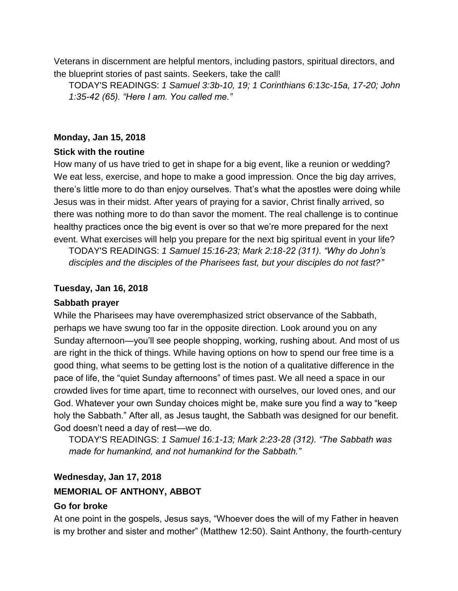Veterans in discernment are helpful mentors, including pastors, spiritual directors, and the blueprint stories of past saints. Seekers, take the call!

TODAY'S READINGS: *1 Samuel 3:3b-10, 19; 1 Corinthians 6:13c-15a, 17-20; John 1:35-42 (65). "Here I am. You called me."*

#### **Monday, Jan 15, 2018**

#### **Stick with the routine**

How many of us have tried to get in shape for a big event, like a reunion or wedding? We eat less, exercise, and hope to make a good impression. Once the big day arrives, there's little more to do than enjoy ourselves. That's what the apostles were doing while Jesus was in their midst. After years of praying for a savior, Christ finally arrived, so there was nothing more to do than savor the moment. The real challenge is to continue healthy practices once the big event is over so that we're more prepared for the next event. What exercises will help you prepare for the next big spiritual event in your life?

TODAY'S READINGS: *1 Samuel 15:16-23; Mark 2:18-22 (311). "Why do John's disciples and the disciples of the Pharisees fast, but your disciples do not fast?"*

#### **Tuesday, Jan 16, 2018**

#### **Sabbath prayer**

While the Pharisees may have overemphasized strict observance of the Sabbath, perhaps we have swung too far in the opposite direction. Look around you on any Sunday afternoon—you'll see people shopping, working, rushing about. And most of us are right in the thick of things. While having options on how to spend our free time is a good thing, what seems to be getting lost is the notion of a qualitative difference in the pace of life, the "quiet Sunday afternoons" of times past. We all need a space in our crowded lives for time apart, time to reconnect with ourselves, our loved ones, and our God. Whatever your own Sunday choices might be, make sure you find a way to "keep holy the Sabbath." After all, as Jesus taught, the Sabbath was designed for our benefit. God doesn't need a day of rest—we do.

TODAY'S READINGS: *1 Samuel 16:1-13; Mark 2:23-28 (312). "The Sabbath was made for humankind, and not humankind for the Sabbath."*

#### **Wednesday, Jan 17, 2018**

#### **MEMORIAL OF ANTHONY, ABBOT**

#### **Go for broke**

At one point in the gospels, Jesus says, "Whoever does the will of my Father in heaven is my brother and sister and mother" (Matthew 12:50). Saint Anthony, the fourth-century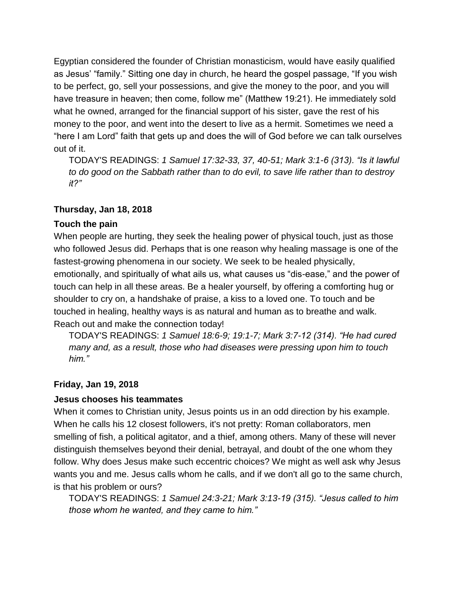Egyptian considered the founder of Christian monasticism, would have easily qualified as Jesus' "family." Sitting one day in church, he heard the gospel passage, "If you wish to be perfect, go, sell your possessions, and give the money to the poor, and you will have treasure in heaven; then come, follow me" (Matthew 19:21). He immediately sold what he owned, arranged for the financial support of his sister, gave the rest of his money to the poor, and went into the desert to live as a hermit. Sometimes we need a "here I am Lord" faith that gets up and does the will of God before we can talk ourselves out of it.

TODAY'S READINGS: *1 Samuel 17:32-33, 37, 40-51; Mark 3:1-6 (313). "Is it lawful to do good on the Sabbath rather than to do evil, to save life rather than to destroy it?"*

### **Thursday, Jan 18, 2018**

#### **Touch the pain**

When people are hurting, they seek the healing power of physical touch, just as those who followed Jesus did. Perhaps that is one reason why healing massage is one of the fastest-growing phenomena in our society. We seek to be healed physically, emotionally, and spiritually of what ails us, what causes us "dis-ease," and the power of touch can help in all these areas. Be a healer yourself, by offering a comforting hug or shoulder to cry on, a handshake of praise, a kiss to a loved one. To touch and be touched in healing, healthy ways is as natural and human as to breathe and walk. Reach out and make the connection today!

TODAY'S READINGS: *1 Samuel 18:6-9; 19:1-7; Mark 3:7-12 (314). "He had cured many and, as a result, those who had diseases were pressing upon him to touch him."*

### **Friday, Jan 19, 2018**

#### **Jesus chooses his teammates**

When it comes to Christian unity, Jesus points us in an odd direction by his example. When he calls his 12 closest followers, it's not pretty: Roman collaborators, men smelling of fish, a political agitator, and a thief, among others. Many of these will never distinguish themselves beyond their denial, betrayal, and doubt of the one whom they follow. Why does Jesus make such eccentric choices? We might as well ask why Jesus wants you and me. Jesus calls whom he calls, and if we don't all go to the same church, is that his problem or ours?

TODAY'S READINGS: *1 Samuel 24:3-21; Mark 3:13-19 (315). "Jesus called to him those whom he wanted, and they came to him."*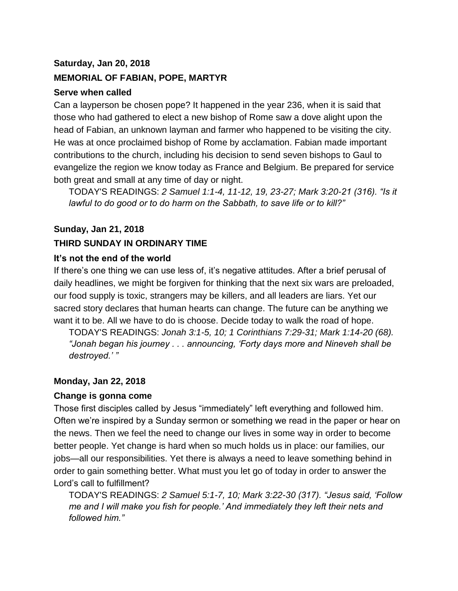### **Saturday, Jan 20, 2018**

#### **MEMORIAL OF FABIAN, POPE, MARTYR**

#### **Serve when called**

Can a layperson be chosen pope? It happened in the year 236, when it is said that those who had gathered to elect a new bishop of Rome saw a dove alight upon the head of Fabian, an unknown layman and farmer who happened to be visiting the city. He was at once proclaimed bishop of Rome by acclamation. Fabian made important contributions to the church, including his decision to send seven bishops to Gaul to evangelize the region we know today as France and Belgium. Be prepared for service both great and small at any time of day or night.

TODAY'S READINGS: *2 Samuel 1:1-4, 11-12, 19, 23-27; Mark 3:20-21 (316). "Is it lawful to do good or to do harm on the Sabbath, to save life or to kill?"*

#### **Sunday, Jan 21, 2018**

#### **THIRD SUNDAY IN ORDINARY TIME**

#### **It's not the end of the world**

If there's one thing we can use less of, it's negative attitudes. After a brief perusal of daily headlines, we might be forgiven for thinking that the next six wars are preloaded, our food supply is toxic, strangers may be killers, and all leaders are liars. Yet our sacred story declares that human hearts can change. The future can be anything we want it to be. All we have to do is choose. Decide today to walk the road of hope.

TODAY'S READINGS: *Jonah 3:1-5, 10; 1 Corinthians 7:29-31; Mark 1:14-20 (68). "Jonah began his journey . . . announcing, 'Forty days more and Nineveh shall be destroyed.' "*

#### **Monday, Jan 22, 2018**

#### **Change is gonna come**

Those first disciples called by Jesus "immediately" left everything and followed him. Often we're inspired by a Sunday sermon or something we read in the paper or hear on the news. Then we feel the need to change our lives in some way in order to become better people. Yet change is hard when so much holds us in place: our families, our jobs—all our responsibilities. Yet there is always a need to leave something behind in order to gain something better. What must you let go of today in order to answer the Lord's call to fulfillment?

TODAY'S READINGS: *2 Samuel 5:1-7, 10; Mark 3:22-30 (317). "Jesus said, 'Follow me and I will make you fish for people.' And immediately they left their nets and followed him."*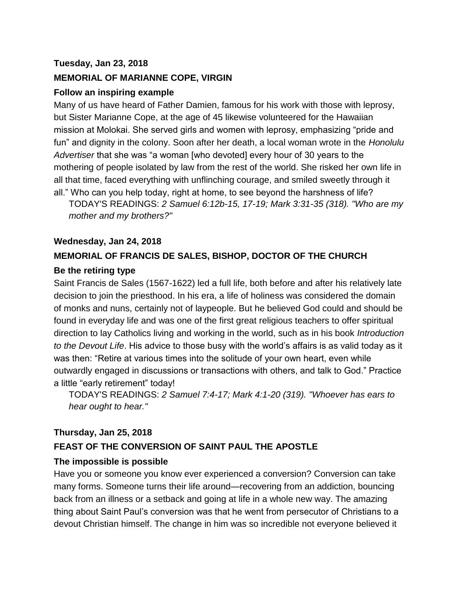## **Tuesday, Jan 23, 2018**

## **MEMORIAL OF MARIANNE COPE, VIRGIN**

## **Follow an inspiring example**

Many of us have heard of Father Damien, famous for his work with those with leprosy, but Sister Marianne Cope, at the age of 45 likewise volunteered for the Hawaiian mission at Molokai. She served girls and women with leprosy, emphasizing "pride and fun" and dignity in the colony. Soon after her death, a local woman wrote in the *Honolulu Advertiser* that she was "a woman [who devoted] every hour of 30 years to the mothering of people isolated by law from the rest of the world. She risked her own life in all that time, faced everything with unflinching courage, and smiled sweetly through it all." Who can you help today, right at home, to see beyond the harshness of life?

TODAY'S READINGS: *2 Samuel 6:12b-15, 17-19; Mark 3:31-35 (318). "Who are my mother and my brothers?"*

### **Wednesday, Jan 24, 2018**

## **MEMORIAL OF FRANCIS DE SALES, BISHOP, DOCTOR OF THE CHURCH**

### **Be the retiring type**

Saint Francis de Sales (1567-1622) led a full life, both before and after his relatively late decision to join the priesthood. In his era, a life of holiness was considered the domain of monks and nuns, certainly not of laypeople. But he believed God could and should be found in everyday life and was one of the first great religious teachers to offer spiritual direction to lay Catholics living and working in the world, such as in his book *Introduction to the Devout Life*. His advice to those busy with the world's affairs is as valid today as it was then: "Retire at various times into the solitude of your own heart, even while outwardly engaged in discussions or transactions with others, and talk to God." Practice a little "early retirement" today!

TODAY'S READINGS: *2 Samuel 7:4-17; Mark 4:1-20 (319). "Whoever has ears to hear ought to hear."*

### **Thursday, Jan 25, 2018**

## **FEAST OF THE CONVERSION OF SAINT PAUL THE APOSTLE**

### **The impossible is possible**

Have you or someone you know ever experienced a conversion? Conversion can take many forms. Someone turns their life around—recovering from an addiction, bouncing back from an illness or a setback and going at life in a whole new way. The amazing thing about Saint Paul's conversion was that he went from persecutor of Christians to a devout Christian himself. The change in him was so incredible not everyone believed it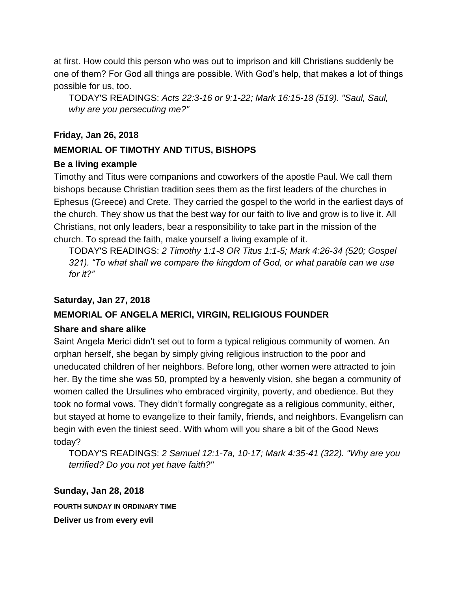at first. How could this person who was out to imprison and kill Christians suddenly be one of them? For God all things are possible. With God's help, that makes a lot of things possible for us, too.

TODAY'S READINGS: *Acts 22:3-16 or 9:1-22; Mark 16:15-18 (519). "Saul, Saul, why are you persecuting me?"*

## **Friday, Jan 26, 2018**

## **MEMORIAL OF TIMOTHY AND TITUS, BISHOPS**

### **Be a living example**

Timothy and Titus were companions and coworkers of the apostle Paul. We call them bishops because Christian tradition sees them as the first leaders of the churches in Ephesus (Greece) and Crete. They carried the gospel to the world in the earliest days of the church. They show us that the best way for our faith to live and grow is to live it. All Christians, not only leaders, bear a responsibility to take part in the mission of the church. To spread the faith, make yourself a living example of it.

TODAY'S READINGS: *2 Timothy 1:1-8 OR Titus 1:1-5; Mark 4:26-34 (520; Gospel 321). "To what shall we compare the kingdom of God, or what parable can we use for it?"*

## **Saturday, Jan 27, 2018**

## **MEMORIAL OF ANGELA MERICI, VIRGIN, RELIGIOUS FOUNDER**

### **Share and share alike**

Saint Angela Merici didn't set out to form a typical religious community of women. An orphan herself, she began by simply giving religious instruction to the poor and uneducated children of her neighbors. Before long, other women were attracted to join her. By the time she was 50, prompted by a heavenly vision, she began a community of women called the Ursulines who embraced virginity, poverty, and obedience. But they took no formal vows. They didn't formally congregate as a religious community, either, but stayed at home to evangelize to their family, friends, and neighbors. Evangelism can begin with even the tiniest seed. With whom will you share a bit of the Good News today?

TODAY'S READINGS: *2 Samuel 12:1-7a, 10-17; Mark 4:35-41 (322). "Why are you terrified? Do you not yet have faith?"*

### **Sunday, Jan 28, 2018**

**FOURTH SUNDAY IN ORDINARY TIME**

**Deliver us from every evil**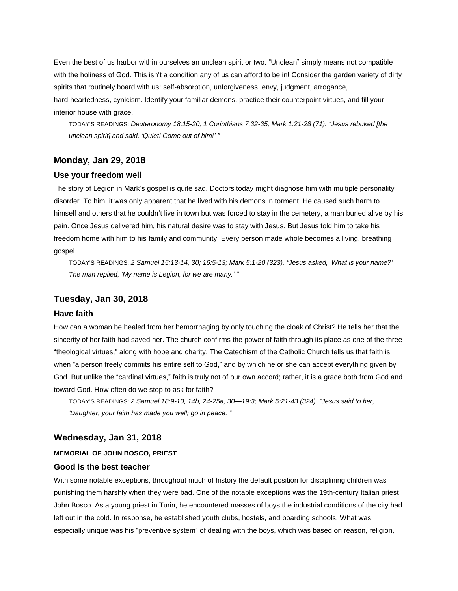Even the best of us harbor within ourselves an unclean spirit or two. "Unclean" simply means not compatible with the holiness of God. This isn't a condition any of us can afford to be in! Consider the garden variety of dirty spirits that routinely board with us: self-absorption, unforgiveness, envy, judgment, arrogance,

hard-heartedness, cynicism. Identify your familiar demons, practice their counterpoint virtues, and fill your interior house with grace.

TODAY'S READINGS: *Deuteronomy 18:15-20; 1 Corinthians 7:32-35; Mark 1:21-28 (71). "Jesus rebuked [the unclean spirit] and said, 'Quiet! Come out of him!' "*

#### **Monday, Jan 29, 2018**

#### **Use your freedom well**

The story of Legion in Mark's gospel is quite sad. Doctors today might diagnose him with multiple personality disorder. To him, it was only apparent that he lived with his demons in torment. He caused such harm to himself and others that he couldn't live in town but was forced to stay in the cemetery, a man buried alive by his pain. Once Jesus delivered him, his natural desire was to stay with Jesus. But Jesus told him to take his freedom home with him to his family and community. Every person made whole becomes a living, breathing gospel.

TODAY'S READINGS: *2 Samuel 15:13-14, 30; 16:5-13; Mark 5:1-20 (323). "Jesus asked, 'What is your name?' The man replied, 'My name is Legion, for we are many.' "*

#### **Tuesday, Jan 30, 2018**

#### **Have faith**

How can a woman be healed from her hemorrhaging by only touching the cloak of Christ? He tells her that the sincerity of her faith had saved her. The church confirms the power of faith through its place as one of the three "theological virtues," along with hope and charity. The Catechism of the Catholic Church tells us that faith is when "a person freely commits his entire self to God," and by which he or she can accept everything given by God. But unlike the "cardinal virtues," faith is truly not of our own accord; rather, it is a grace both from God and toward God. How often do we stop to ask for faith?

TODAY'S READINGS: *2 Samuel 18:9-10, 14b, 24-25a, 30—19:3; Mark 5:21-43 (324). "Jesus said to her, 'Daughter, your faith has made you well; go in peace.'"*

#### **Wednesday, Jan 31, 2018**

#### **MEMORIAL OF JOHN BOSCO, PRIEST**

#### **Good is the best teacher**

With some notable exceptions, throughout much of history the default position for disciplining children was punishing them harshly when they were bad. One of the notable exceptions was the 19th-century Italian priest John Bosco. As a young priest in Turin, he encountered masses of boys the industrial conditions of the city had left out in the cold. In response, he established youth clubs, hostels, and boarding schools. What was especially unique was his "preventive system" of dealing with the boys, which was based on reason, religion,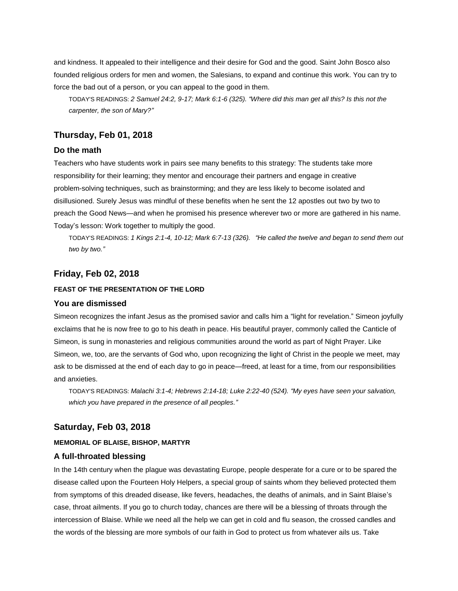and kindness. It appealed to their intelligence and their desire for God and the good. Saint John Bosco also founded religious orders for men and women, the Salesians, to expand and continue this work. You can try to force the bad out of a person, or you can appeal to the good in them.

TODAY'S READINGS: *2 Samuel 24:2, 9-17; Mark 6:1-6 (325). "Where did this man get all this? Is this not the carpenter, the son of Mary?"*

#### **Thursday, Feb 01, 2018**

#### **Do the math**

Teachers who have students work in pairs see many benefits to this strategy: The students take more responsibility for their learning; they mentor and encourage their partners and engage in creative problem-solving techniques, such as brainstorming; and they are less likely to become isolated and disillusioned. Surely Jesus was mindful of these benefits when he sent the 12 apostles out two by two to preach the Good News—and when he promised his presence wherever two or more are gathered in his name. Today's lesson: Work together to multiply the good.

TODAY'S READINGS: *1 Kings 2:1-4, 10-12; Mark 6:7-13 (326). "He called the twelve and began to send them out two by two."*

#### **Friday, Feb 02, 2018**

#### **FEAST OF THE PRESENTATION OF THE LORD**

#### **You are dismissed**

Simeon recognizes the infant Jesus as the promised savior and calls him a "light for revelation." Simeon joyfully exclaims that he is now free to go to his death in peace. His beautiful prayer, commonly called the Canticle of Simeon, is sung in monasteries and religious communities around the world as part of Night Prayer. Like Simeon, we, too, are the servants of God who, upon recognizing the light of Christ in the people we meet, may ask to be dismissed at the end of each day to go in peace—freed, at least for a time, from our responsibilities and anxieties.

TODAY'S READINGS: *Malachi 3:1-4; Hebrews 2:14-18; Luke 2:22-40 (524). "My eyes have seen your salvation, which you have prepared in the presence of all peoples."*

#### **Saturday, Feb 03, 2018**

#### **MEMORIAL OF BLAISE, BISHOP, MARTYR**

#### **A full-throated blessing**

In the 14th century when the plague was devastating Europe, people desperate for a cure or to be spared the disease called upon the Fourteen Holy Helpers, a special group of saints whom they believed protected them from symptoms of this dreaded disease, like fevers, headaches, the deaths of animals, and in Saint Blaise's case, throat ailments. If you go to church today, chances are there will be a blessing of throats through the intercession of Blaise. While we need all the help we can get in cold and flu season, the crossed candles and the words of the blessing are more symbols of our faith in God to protect us from whatever ails us. Take